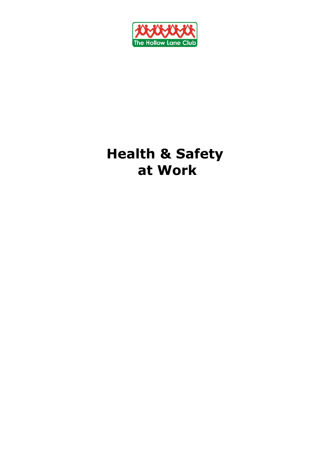

# **Health & Safety at Work**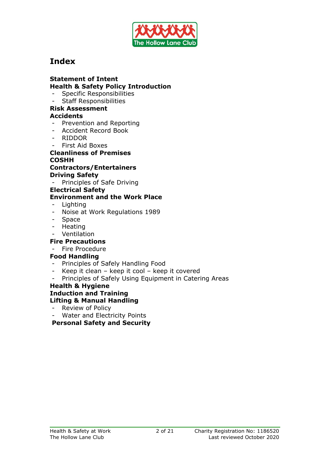

# **Index**

#### **Statement of Intent Health & Safety Policy Introduction**

- Specific Responsibilities
- Staff Responsibilities

#### **Risk Assessment Accidents**

- Prevention and Reporting
- Accident Record Book
- RIDDOR
- First Aid Boxes

#### **Cleanliness of Premises COSHH**

## **Contractors/Entertainers Driving Safety**

Principles of Safe Driving

### **Electrical Safety**

## **Environment and the Work Place**

- **Lighting**
- Noise at Work Regulations 1989
- Space
- **Heating**
- Ventilation

#### **Fire Precautions**

#### - Fire Procedure

#### **Food Handling**

- Principles of Safely Handling Food
- Keep it clean keep it cool keep it covered
- Principles of Safely Using Equipment in Catering Areas

#### **Health & Hygiene Induction and Training Lifting & Manual Handling**

- Review of Policy
- Water and Electricity Points

**Personal Safety and Security**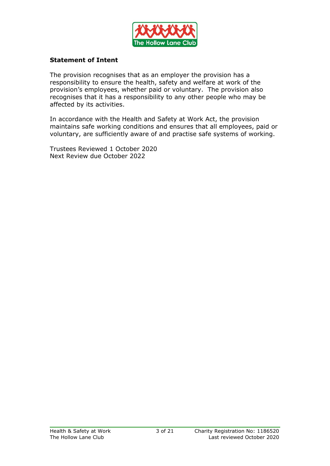

#### **Statement of Intent**

The provision recognises that as an employer the provision has a responsibility to ensure the health, safety and welfare at work of the provision's employees, whether paid or voluntary. The provision also recognises that it has a responsibility to any other people who may be affected by its activities.

In accordance with the Health and Safety at Work Act, the provision maintains safe working conditions and ensures that all employees, paid or voluntary, are sufficiently aware of and practise safe systems of working.

Trustees Reviewed 1 October 2020 Next Review due October 2022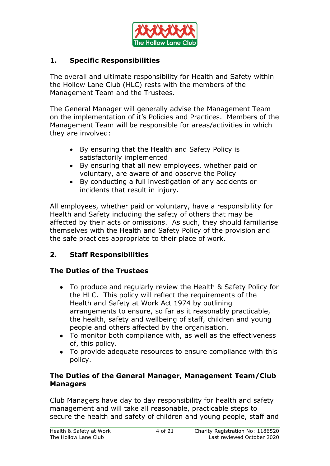

## **1. Specific Responsibilities**

The overall and ultimate responsibility for Health and Safety within the Hollow Lane Club (HLC) rests with the members of the Management Team and the Trustees.

The General Manager will generally advise the Management Team on the implementation of it's Policies and Practices. Members of the Management Team will be responsible for areas/activities in which they are involved:

- By ensuring that the Health and Safety Policy is satisfactorily implemented
- By ensuring that all new employees, whether paid or voluntary, are aware of and observe the Policy
- By conducting a full investigation of any accidents or incidents that result in injury.

All employees, whether paid or voluntary, have a responsibility for Health and Safety including the safety of others that may be affected by their acts or omissions. As such, they should familiarise themselves with the Health and Safety Policy of the provision and the safe practices appropriate to their place of work.

## **2. Staff Responsibilities**

## **The Duties of the Trustees**

- To produce and regularly review the Health & Safety Policy for the HLC. This policy will reflect the requirements of the Health and Safety at Work Act 1974 by outlining arrangements to ensure, so far as it reasonably practicable, the health, safety and wellbeing of staff, children and young people and others affected by the organisation.
- To monitor both compliance with, as well as the effectiveness of, this policy.
- To provide adequate resources to ensure compliance with this policy.

## **The Duties of the General Manager, Management Team/Club Managers**

Club Managers have day to day responsibility for health and safety management and will take all reasonable, practicable steps to secure the health and safety of children and young people, staff and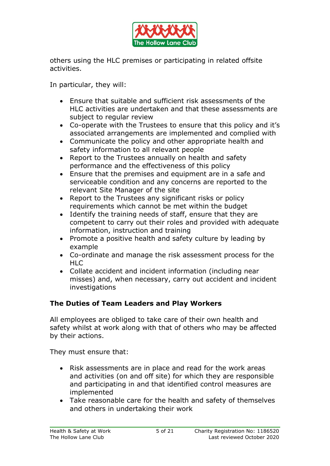

others using the HLC premises or participating in related offsite activities.

In particular, they will:

- Ensure that suitable and sufficient risk assessments of the HLC activities are undertaken and that these assessments are subject to regular review
- Co-operate with the Trustees to ensure that this policy and it's associated arrangements are implemented and complied with
- Communicate the policy and other appropriate health and safety information to all relevant people
- Report to the Trustees annually on health and safety performance and the effectiveness of this policy
- Ensure that the premises and equipment are in a safe and serviceable condition and any concerns are reported to the relevant Site Manager of the site
- Report to the Trustees any significant risks or policy requirements which cannot be met within the budget
- Identify the training needs of staff, ensure that they are competent to carry out their roles and provided with adequate information, instruction and training
- Promote a positive health and safety culture by leading by example
- Co-ordinate and manage the risk assessment process for the HLC
- Collate accident and incident information (including near misses) and, when necessary, carry out accident and incident investigations

## **The Duties of Team Leaders and Play Workers**

All employees are obliged to take care of their own health and safety whilst at work along with that of others who may be affected by their actions.

They must ensure that:

- Risk assessments are in place and read for the work areas and activities (on and off site) for which they are responsible and participating in and that identified control measures are implemented
- Take reasonable care for the health and safety of themselves and others in undertaking their work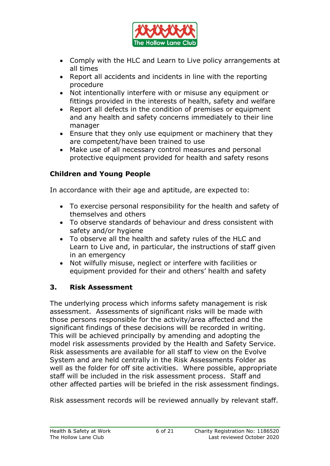

- Comply with the HLC and Learn to Live policy arrangements at all times
- Report all accidents and incidents in line with the reporting procedure
- Not intentionally interfere with or misuse any equipment or fittings provided in the interests of health, safety and welfare
- Report all defects in the condition of premises or equipment and any health and safety concerns immediately to their line manager
- Ensure that they only use equipment or machinery that they are competent/have been trained to use
- Make use of all necessary control measures and personal protective equipment provided for health and safety resons

# **Children and Young People**

In accordance with their age and aptitude, are expected to:

- To exercise personal responsibility for the health and safety of themselves and others
- To observe standards of behaviour and dress consistent with safety and/or hygiene
- To observe all the health and safety rules of the HLC and Learn to Live and, in particular, the instructions of staff given in an emergency
- Not wilfully misuse, neglect or interfere with facilities or equipment provided for their and others' health and safety

## **3. Risk Assessment**

The underlying process which informs safety management is risk assessment. Assessments of significant risks will be made with those persons responsible for the activity/area affected and the significant findings of these decisions will be recorded in writing. This will be achieved principally by amending and adopting the model risk assessments provided by the Health and Safety Service. Risk assessments are available for all staff to view on the Evolve System and are held centrally in the Risk Assessments Folder as well as the folder for off site activities. Where possible, appropriate staff will be included in the risk assessment process. Staff and other affected parties will be briefed in the risk assessment findings.

Risk assessment records will be reviewed annually by relevant staff.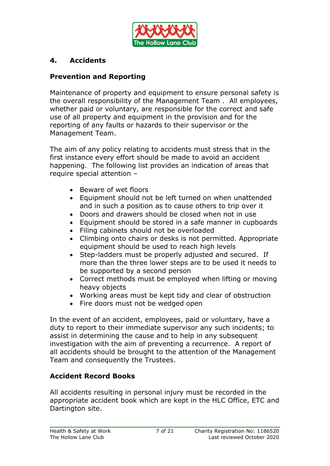

## **4. Accidents**

## **Prevention and Reporting**

Maintenance of property and equipment to ensure personal safety is the overall responsibility of the Management Team . All employees, whether paid or voluntary, are responsible for the correct and safe use of all property and equipment in the provision and for the reporting of any faults or hazards to their supervisor or the Management Team.

The aim of any policy relating to accidents must stress that in the first instance every effort should be made to avoid an accident happening. The following list provides an indication of areas that require special attention –

- Beware of wet floors
- Equipment should not be left turned on when unattended and in such a position as to cause others to trip over it
- Doors and drawers should be closed when not in use
- Equipment should be stored in a safe manner in cupboards
- Filing cabinets should not be overloaded
- Climbing onto chairs or desks is not permitted. Appropriate equipment should be used to reach high levels
- Step-ladders must be properly adjusted and secured. If more than the three lower steps are to be used it needs to be supported by a second person
- Correct methods must be employed when lifting or moving heavy objects
- Working areas must be kept tidy and clear of obstruction
- Fire doors must not be wedged open

In the event of an accident, employees, paid or voluntary, have a duty to report to their immediate supervisor any such incidents; to assist in determining the cause and to help in any subsequent investigation with the aim of preventing a recurrence. A report of all accidents should be brought to the attention of the Management Team and consequently the Trustees.

## **Accident Record Books**

All accidents resulting in personal injury must be recorded in the appropriate accident book which are kept in the HLC Office, ETC and Dartington site.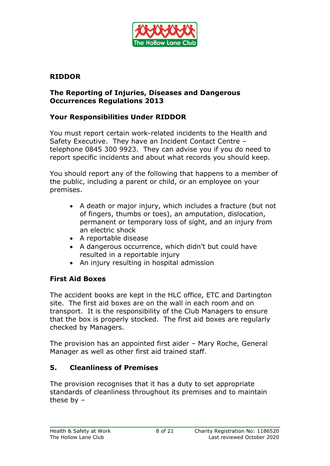

## **RIDDOR**

## **The Reporting of Injuries, Diseases and Dangerous Occurrences Regulations 2013**

## **Your Responsibilities Under RIDDOR**

You must report certain work-related incidents to the Health and Safety Executive. They have an Incident Contact Centre – telephone 0845 300 9923. They can advise you if you do need to report specific incidents and about what records you should keep.

You should report any of the following that happens to a member of the public, including a parent or child, or an employee on your premises.

- A death or major injury, which includes a fracture (but not of fingers, thumbs or toes), an amputation, dislocation, permanent or temporary loss of sight, and an injury from an electric shock
- A reportable disease
- A dangerous occurrence, which didn't but could have resulted in a reportable injury
- An injury resulting in hospital admission

## **First Aid Boxes**

The accident books are kept in the HLC office, ETC and Dartington site. The first aid boxes are on the wall in each room and on transport. It is the responsibility of the Club Managers to ensure that the box is properly stocked. The first aid boxes are regularly checked by Managers.

The provision has an appointed first aider – Mary Roche, General Manager as well as other first aid trained staff.

## **5. Cleanliness of Premises**

The provision recognises that it has a duty to set appropriate standards of cleanliness throughout its premises and to maintain these by –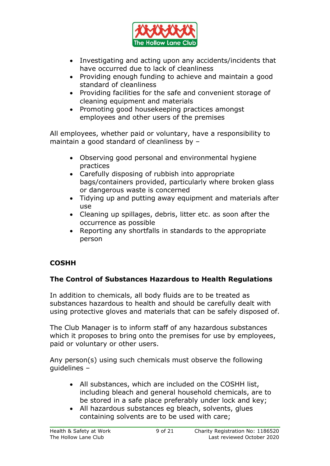

- Investigating and acting upon any accidents/incidents that have occurred due to lack of cleanliness
- Providing enough funding to achieve and maintain a good standard of cleanliness
- Providing facilities for the safe and convenient storage of cleaning equipment and materials
- Promoting good housekeeping practices amongst employees and other users of the premises

All employees, whether paid or voluntary, have a responsibility to maintain a good standard of cleanliness by –

- Observing good personal and environmental hygiene practices
- Carefully disposing of rubbish into appropriate bags/containers provided, particularly where broken glass or dangerous waste is concerned
- Tidying up and putting away equipment and materials after use
- Cleaning up spillages, debris, litter etc. as soon after the occurrence as possible
- Reporting any shortfalls in standards to the appropriate person

# **COSHH**

# **The Control of Substances Hazardous to Health Regulations**

In addition to chemicals, all body fluids are to be treated as substances hazardous to health and should be carefully dealt with using protective gloves and materials that can be safely disposed of.

The Club Manager is to inform staff of any hazardous substances which it proposes to bring onto the premises for use by employees, paid or voluntary or other users.

Any person(s) using such chemicals must observe the following guidelines –

- All substances, which are included on the COSHH list, including bleach and general household chemicals, are to be stored in a safe place preferably under lock and key;
- All hazardous substances eg bleach, solvents, glues containing solvents are to be used with care;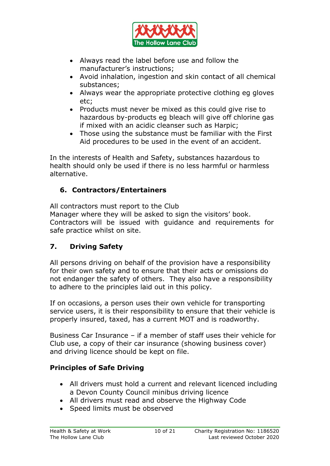

- Always read the label before use and follow the manufacturer's instructions;
- Avoid inhalation, ingestion and skin contact of all chemical substances;
- Always wear the appropriate protective clothing eg gloves etc;
- Products must never be mixed as this could give rise to hazardous by-products eg bleach will give off chlorine gas if mixed with an acidic cleanser such as Harpic;
- Those using the substance must be familiar with the First Aid procedures to be used in the event of an accident.

In the interests of Health and Safety, substances hazardous to health should only be used if there is no less harmful or harmless alternative.

# **6. Contractors/Entertainers**

All contractors must report to the Club Manager where they will be asked to sign the visitors' book. Contractors will be issued with guidance and requirements for safe practice whilst on site.

# **7. Driving Safety**

All persons driving on behalf of the provision have a responsibility for their own safety and to ensure that their acts or omissions do not endanger the safety of others. They also have a responsibility to adhere to the principles laid out in this policy.

If on occasions, a person uses their own vehicle for transporting service users, it is their responsibility to ensure that their vehicle is properly insured, taxed, has a current MOT and is roadworthy.

Business Car Insurance – if a member of staff uses their vehicle for Club use, a copy of their car insurance (showing business cover) and driving licence should be kept on file.

# **Principles of Safe Driving**

- All drivers must hold a current and relevant licenced including a Devon County Council minibus driving licence
- All drivers must read and observe the Highway Code
- Speed limits must be observed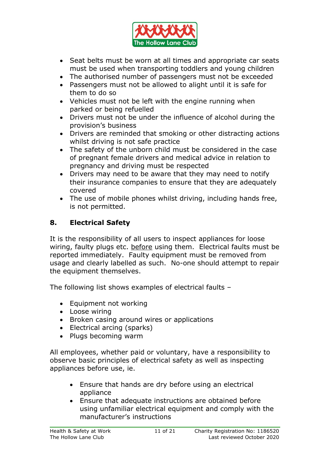

- Seat belts must be worn at all times and appropriate car seats must be used when transporting toddlers and young children
- The authorised number of passengers must not be exceeded
- Passengers must not be allowed to alight until it is safe for them to do so
- Vehicles must not be left with the engine running when parked or being refuelled
- Drivers must not be under the influence of alcohol during the provision's business
- Drivers are reminded that smoking or other distracting actions whilst driving is not safe practice
- The safety of the unborn child must be considered in the case of pregnant female drivers and medical advice in relation to pregnancy and driving must be respected
- Drivers may need to be aware that they may need to notify their insurance companies to ensure that they are adequately covered
- The use of mobile phones whilst driving, including hands free, is not permitted.

# **8. Electrical Safety**

It is the responsibility of all users to inspect appliances for loose wiring, faulty plugs etc. before using them. Electrical faults must be reported immediately. Faulty equipment must be removed from usage and clearly labelled as such. No-one should attempt to repair the equipment themselves.

The following list shows examples of electrical faults –

- Equipment not working
- Loose wiring
- Broken casing around wires or applications
- Electrical arcing (sparks)
- Plugs becoming warm

All employees, whether paid or voluntary, have a responsibility to observe basic principles of electrical safety as well as inspecting appliances before use, ie.

- Ensure that hands are dry before using an electrical appliance
- Ensure that adequate instructions are obtained before using unfamiliar electrical equipment and comply with the manufacturer's instructions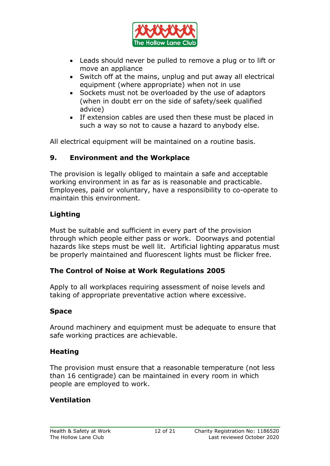

- Leads should never be pulled to remove a plug or to lift or move an appliance
- Switch off at the mains, unplug and put away all electrical equipment (where appropriate) when not in use
- Sockets must not be overloaded by the use of adaptors (when in doubt err on the side of safety/seek qualified advice)
- If extension cables are used then these must be placed in such a way so not to cause a hazard to anybody else.

All electrical equipment will be maintained on a routine basis.

## **9. Environment and the Workplace**

The provision is legally obliged to maintain a safe and acceptable working environment in as far as is reasonable and practicable. Employees, paid or voluntary, have a responsibility to co-operate to maintain this environment.

# **Lighting**

Must be suitable and sufficient in every part of the provision through which people either pass or work. Doorways and potential hazards like steps must be well lit. Artificial lighting apparatus must be properly maintained and fluorescent lights must be flicker free.

## **The Control of Noise at Work Regulations 2005**

Apply to all workplaces requiring assessment of noise levels and taking of appropriate preventative action where excessive.

## **Space**

Around machinery and equipment must be adequate to ensure that safe working practices are achievable.

## **Heating**

The provision must ensure that a reasonable temperature (not less than 16 centigrade) can be maintained in every room in which people are employed to work.

## **Ventilation**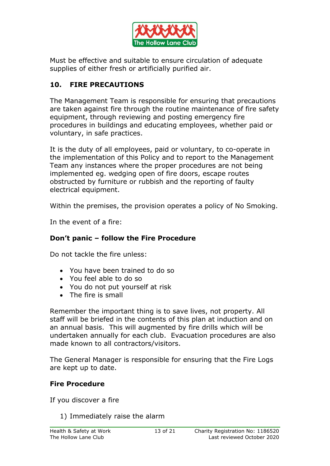

Must be effective and suitable to ensure circulation of adequate supplies of either fresh or artificially purified air.

# **10. FIRE PRECAUTIONS**

The Management Team is responsible for ensuring that precautions are taken against fire through the routine maintenance of fire safety equipment, through reviewing and posting emergency fire procedures in buildings and educating employees, whether paid or voluntary, in safe practices.

It is the duty of all employees, paid or voluntary, to co-operate in the implementation of this Policy and to report to the Management Team any instances where the proper procedures are not being implemented eg. wedging open of fire doors, escape routes obstructed by furniture or rubbish and the reporting of faulty electrical equipment.

Within the premises, the provision operates a policy of No Smoking.

In the event of a fire:

## **Don't panic – follow the Fire Procedure**

Do not tackle the fire unless:

- You have been trained to do so
- You feel able to do so
- You do not put yourself at risk
- The fire is small

Remember the important thing is to save lives, not property. All staff will be briefed in the contents of this plan at induction and on an annual basis. This will augmented by fire drills which will be undertaken annually for each club. Evacuation procedures are also made known to all contractors/visitors.

The General Manager is responsible for ensuring that the Fire Logs are kept up to date.

## **Fire Procedure**

If you discover a fire

1) Immediately raise the alarm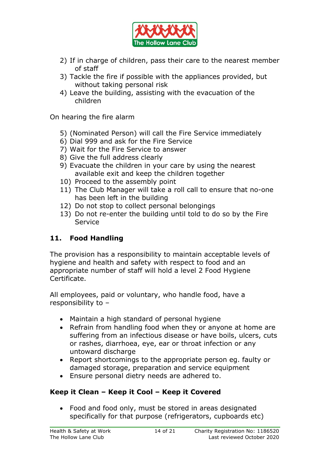

- 2) If in charge of children, pass their care to the nearest member of staff
- 3) Tackle the fire if possible with the appliances provided, but without taking personal risk
- 4) Leave the building, assisting with the evacuation of the children

On hearing the fire alarm

- 5) (Nominated Person) will call the Fire Service immediately
- 6) Dial 999 and ask for the Fire Service
- 7) Wait for the Fire Service to answer
- 8) Give the full address clearly
- 9) Evacuate the children in your care by using the nearest available exit and keep the children together
- 10) Proceed to the assembly point
- 11) The Club Manager will take a roll call to ensure that no-one has been left in the building
- 12) Do not stop to collect personal belongings
- 13) Do not re-enter the building until told to do so by the Fire **Service**

## **11. Food Handling**

The provision has a responsibility to maintain acceptable levels of hygiene and health and safety with respect to food and an appropriate number of staff will hold a level 2 Food Hygiene Certificate.

All employees, paid or voluntary, who handle food, have a responsibility to –

- Maintain a high standard of personal hygiene
- Refrain from handling food when they or anyone at home are suffering from an infectious disease or have boils, ulcers, cuts or rashes, diarrhoea, eye, ear or throat infection or any untoward discharge
- Report shortcomings to the appropriate person eg. faulty or damaged storage, preparation and service equipment
- Ensure personal dietry needs are adhered to.

## **Keep it Clean – Keep it Cool – Keep it Covered**

 Food and food only, must be stored in areas designated specifically for that purpose (refrigerators, cupboards etc)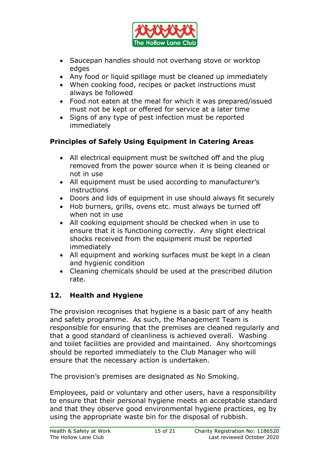

- Saucepan handles should not overhang stove or worktop edges
- Any food or liquid spillage must be cleaned up immediately
- When cooking food, recipes or packet instructions must always be followed
- Food not eaten at the meal for which it was prepared/issued must not be kept or offered for service at a later time
- Signs of any type of pest infection must be reported immediately

# **Principles of Safely Using Equipment in Catering Areas**

- All electrical equipment must be switched off and the plug removed from the power source when it is being cleaned or not in use
- All equipment must be used according to manufacturer's instructions
- Doors and lids of equipment in use should always fit securely
- Hob burners, grills, ovens etc. must always be turned off when not in use
- All cooking equipment should be checked when in use to ensure that it is functioning correctly. Any slight electrical shocks received from the equipment must be reported immediately
- All equipment and working surfaces must be kept in a clean and hygienic condition
- Cleaning chemicals should be used at the prescribed dilution rate.

# **12. Health and Hygiene**

The provision recognises that hygiene is a basic part of any health and safety programme. As such, the Management Team is responsible for ensuring that the premises are cleaned regularly and that a good standard of cleanliness is achieved overall. Washing and toilet facilities are provided and maintained. Any shortcomings should be reported immediately to the Club Manager who will ensure that the necessary action is undertaken.

The provision's premises are designated as No Smoking.

Employees, paid or voluntary and other users, have a responsibility to ensure that their personal hygiene meets an acceptable standard and that they observe good environmental hygiene practices, eg by using the appropriate waste bin for the disposal of rubbish.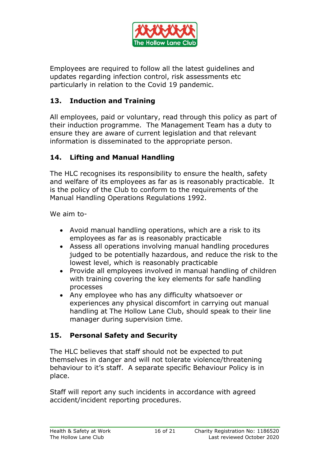

Employees are required to follow all the latest guidelines and updates regarding infection control, risk assessments etc particularly in relation to the Covid 19 pandemic.

## **13. Induction and Training**

All employees, paid or voluntary, read through this policy as part of their induction programme. The Management Team has a duty to ensure they are aware of current legislation and that relevant information is disseminated to the appropriate person.

# **14. Lifting and Manual Handling**

The HLC recognises its responsibility to ensure the health, safety and welfare of its employees as far as is reasonably practicable. It is the policy of the Club to conform to the requirements of the Manual Handling Operations Regulations 1992.

We aim to-

- Avoid manual handling operations, which are a risk to its employees as far as is reasonably practicable
- Assess all operations involving manual handling procedures judged to be potentially hazardous, and reduce the risk to the lowest level, which is reasonably practicable
- Provide all employees involved in manual handling of children with training covering the key elements for safe handling processes
- Any employee who has any difficulty whatsoever or experiences any physical discomfort in carrying out manual handling at The Hollow Lane Club, should speak to their line manager during supervision time.

# **15. Personal Safety and Security**

The HLC believes that staff should not be expected to put themselves in danger and will not tolerate violence/threatening behaviour to it's staff. A separate specific Behaviour Policy is in place.

Staff will report any such incidents in accordance with agreed accident/incident reporting procedures.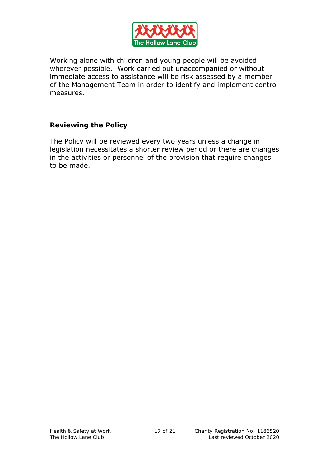

Working alone with children and young people will be avoided wherever possible. Work carried out unaccompanied or without immediate access to assistance will be risk assessed by a member of the Management Team in order to identify and implement control measures.

## **Reviewing the Policy**

The Policy will be reviewed every two years unless a change in legislation necessitates a shorter review period or there are changes in the activities or personnel of the provision that require changes to be made.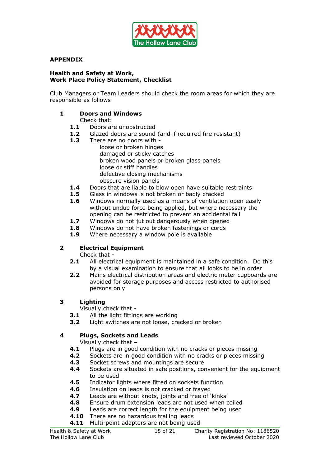

#### **APPENDIX**

#### **Health and Safety at Work, Work Place Policy Statement, Checklist**

Club Managers or Team Leaders should check the room areas for which they are responsible as follows

#### **1 Doors and Windows**

#### Check that:

- **1.1** Doors are unobstructed
- **1.2** Glazed doors are sound (and if required fire resistant)
- **1.3** There are no doors with
	- loose or broken hinges damaged or sticky catches broken wood panels or broken glass panels loose or stiff handles defective closing mechanisms obscure vision panels
- **1.4** Doors that are liable to blow open have suitable restraints
- **1.5** Glass in windows is not broken or badly cracked
- **1.6** Windows normally used as a means of ventilation open easily without undue force being applied, but where necessary the opening can be restricted to prevent an accidental fall
- **1.7** Windows do not jut out dangerously when opened
- 1.8 Windows do not have broken fastenings or cords
- **1.9** Where necessary a window pole is available

#### **2 Electrical Equipment**

Check that -

- **2.1** All electrical equipment is maintained in a safe condition. Do this by a visual examination to ensure that all looks to be in order
- **2.2** Mains electrical distribution areas and electric meter cupboards are avoided for storage purposes and access restricted to authorised persons only

#### **3 Lighting**

Visually check that -

- **3.1** All the light fittings are working
- **3.2** Light switches are not loose, cracked or broken

#### **4 Plugs, Sockets and Leads**

Visually check that –

- **4.1** Plugs are in good condition with no cracks or pieces missing
- **4.2** Sockets are in good condition with no cracks or pieces missing
- **4.3** Socket screws and mountings are secure
- **4.4** Sockets are situated in safe positions, convenient for the equipment to be used
- **4.5** Indicator lights where fitted on sockets function
- **4.6** Insulation on leads is not cracked or frayed
- **4.7** Leads are without knots, joints and free of 'kinks'
- **4.8** Ensure drum extension leads are not used when coiled
- **4.9** Leads are correct length for the equipment being used
- **4.10** There are no hazardous trailing leads
- **4.11** Multi-point adapters are not being used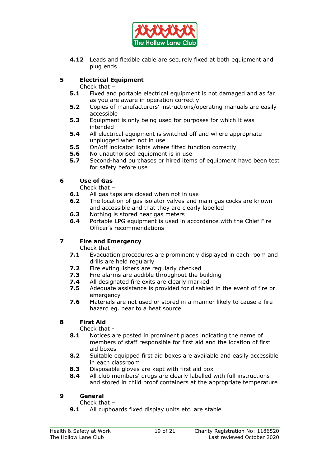

**4.12** Leads and flexible cable are securely fixed at both equipment and plug ends

#### **5 Electrical Equipment**

Check that –

- **5.1** Fixed and portable electrical equipment is not damaged and as far as you are aware in operation correctly
- **5.2** Copies of manufacturers' instructions/operating manuals are easily accessible
- **5.3** Equipment is only being used for purposes for which it was intended
- **5.4** All electrical equipment is switched off and where appropriate unplugged when not in use
- **5.5** On/off indicator lights where fitted function correctly
- **5.6** No unauthorised equipment is in use
- **5.7** Second-hand purchases or hired items of equipment have been test for safety before use

#### **6 Use of Gas**

Check that –

- **6.1** All gas taps are closed when not in use
- **6.2** The location of gas isolator valves and main gas cocks are known and accessible and that they are clearly labelled
- **6.3** Nothing is stored near gas meters
- **6.4** Portable LPG equipment is used in accordance with the Chief Fire Officer's recommendations

#### **7 Fire and Emergency**

Check that –

- **7.1** Evacuation procedures are prominently displayed in each room and drills are held regularly
- **7.2** Fire extinguishers are regularly checked
- **7.3** Fire alarms are audible throughout the building
- **7.4** All designated fire exits are clearly marked
- **7.5** Adequate assistance is provided for disabled in the event of fire or emergency
- **7.6** Materials are not used or stored in a manner likely to cause a fire hazard eg. near to a heat source

#### **8 First Aid**

Check that -

- **8.1** Notices are posted in prominent places indicating the name of members of staff responsible for first aid and the location of first aid boxes
- **8.2** Suitable equipped first aid boxes are available and easily accessible in each classroom
- **8.3** Disposable gloves are kept with first aid box
- **8.4** All club members' drugs are clearly labelled with full instructions and stored in child proof containers at the appropriate temperature

#### **9 General**

Check that –

**9.1** All cupboards fixed display units etc. are stable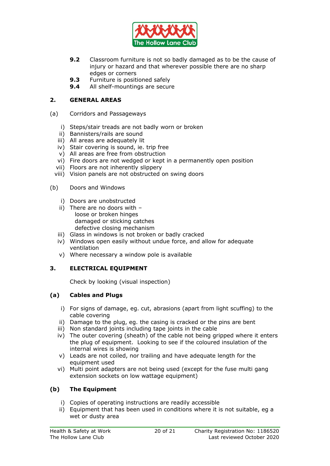

- **9.2** Classroom furniture is not so badly damaged as to be the cause of injury or hazard and that wherever possible there are no sharp edges or corners
- **9.3** Furniture is positioned safely
- **9.4** All shelf-mountings are secure

#### **2. GENERAL AREAS**

- (a) Corridors and Passageways
	- i) Steps/stair treads are not badly worn or broken
	- ii) Bannisters/rails are sound
	- iii) All areas are adequately lit
	- iv) Stair covering is sound, ie. trip free
	- v) All areas are free from obstruction
	- vi) Fire doors are not wedged or kept in a permanently open position
	- vii) Floors are not inherently slippery
	- viii) Vision panels are not obstructed on swing doors
- (b) Doors and Windows
	- i) Doors are unobstructed
	- ii) There are no doors with  $$ loose or broken hinges damaged or sticking catches defective closing mechanism
	- iii) Glass in windows is not broken or badly cracked
	- iv) Windows open easily without undue force, and allow for adequate ventilation
	- v) Where necessary a window pole is available

#### **3. ELECTRICAL EQUIPMENT**

Check by looking (visual inspection)

#### **(a) Cables and Plugs**

- i) For signs of damage, eg. cut, abrasions (apart from light scuffing) to the cable covering
- ii) Damage to the plug, eg. the casing is cracked or the pins are bent
- iii) Non standard joints including tape joints in the cable
- iv) The outer covering (sheath) of the cable not being gripped where it enters the plug of equipment. Looking to see if the coloured insulation of the internal wires is showing
- v) Leads are not coiled, nor trailing and have adequate length for the equipment used
- vi) Multi point adapters are not being used (except for the fuse multi gang extension sockets on low wattage equipment)

#### **(b) The Equipment**

- i) Copies of operating instructions are readily accessible
- ii) Equipment that has been used in conditions where it is not suitable, eg a wet or dusty area